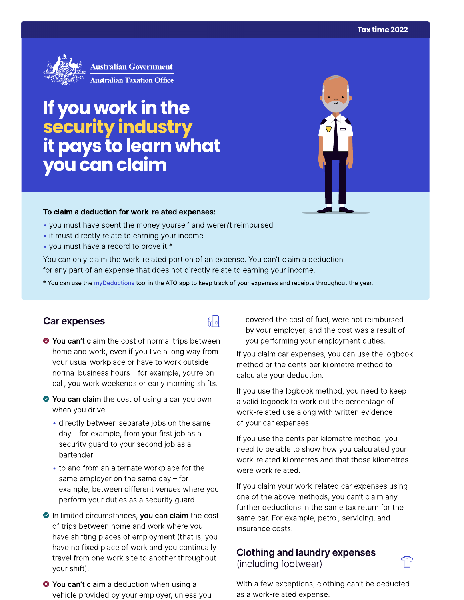

**Australian Government Australian Taxation Office** 

# If you work in the security industry<br>it pays to learn what<br>you can claim

#### To claim a deduction for work-related expenses:

- you must have spent the money yourself and weren't reimbursed
- it must directly relate to earning your income
- you must have a record to prove it.\*

You can only claim the work-related portion of an expense. You can't claim a deduction for any part of an expense that does not directly relate to earning your income.

\* You can use the myDeductions tool in the ATO app to keep track of your expenses and receipts throughout the year.

品

#### Car expenses

- <sup>●</sup> You can't claim the cost of normal trips between home and work, even if you live a long way from your usual workplace or have to work outside normal business hours - for example, you're on call, you work weekends or early morning shifts.
- ◆ You can claim the cost of using a car you own when you drive:
	- directly between separate jobs on the same day - for example, from your first job as a security guard to your second job as a bartender
	- to and from an alternate workplace for the same employer on the same day  $-$  for example, between different venues where you perform your duties as a security guard.
- In limited circumstances, you can claim the cost of trips between home and work where you have shifting places of employment (that is, you have no fixed place of work and you continually travel from one work site to another throughout your shift).
- <sup>3</sup> You can't claim a deduction when using a vehicle provided by your employer, unless you

covered the cost of fuel, were not reimbursed by your employer, and the cost was a result of you performing your employment duties.

If you claim car expenses, you can use the logbook method or the cents per kilometre method to calculate your deduction.

If you use the logbook method, you need to keep a valid logbook to work out the percentage of work-related use along with written evidence of your car expenses.

If you use the cents per kilometre method, you need to be able to show how you calculated your work-related kilometres and that those kilometres were work related.

If you claim your work-related car expenses using one of the above methods, you can't claim any further deductions in the same tax return for the same car. For example, petrol, servicing, and insurance costs.

### **Clothing and laundry expenses** (including footwear)

With a few exceptions, clothing can't be deducted as a work-related expense.